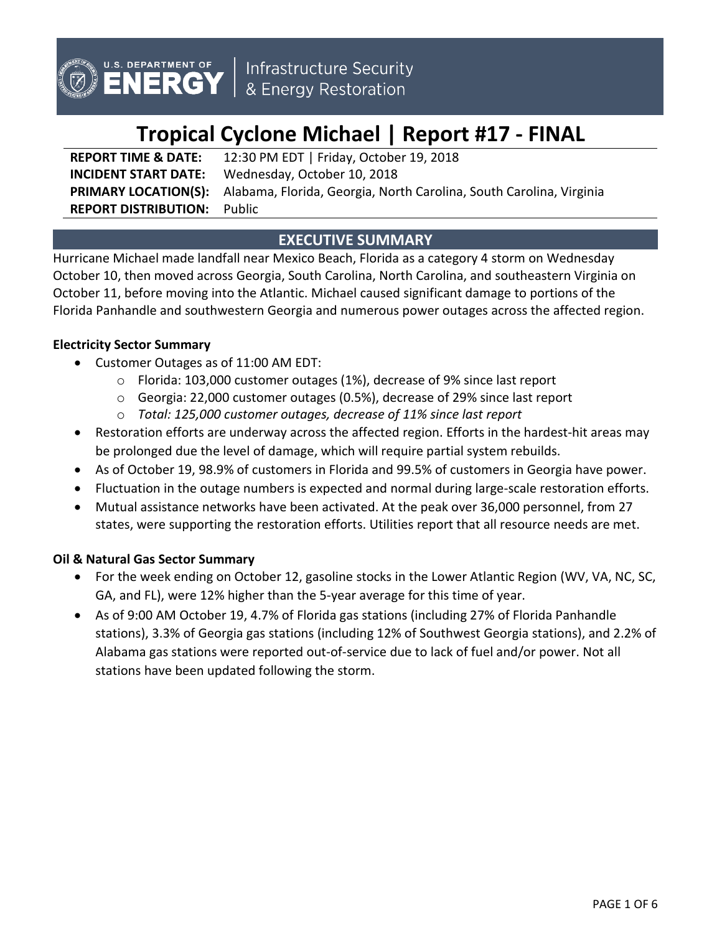

# **Tropical Cyclone Michael | Report #17 - FINAL**

**REPORT TIME & DATE:** 12:30 PM EDT | Friday, October 19, 2018 **INCIDENT START DATE:** Wednesday, October 10, 2018 **PRIMARY LOCATION(S):** Alabama, Florida, Georgia, North Carolina, South Carolina, Virginia **REPORT DISTRIBUTION:** Public

# **EXECUTIVE SUMMARY**

Hurricane Michael made landfall near Mexico Beach, Florida as a category 4 storm on Wednesday October 10, then moved across Georgia, South Carolina, North Carolina, and southeastern Virginia on October 11, before moving into the Atlantic. Michael caused significant damage to portions of the Florida Panhandle and southwestern Georgia and numerous power outages across the affected region.

## **Electricity Sector Summary**

- Customer Outages as of 11:00 AM EDT:
	- o Florida: 103,000 customer outages (1%), decrease of 9% since last report
	- o Georgia: 22,000 customer outages (0.5%), decrease of 29% since last report
	- o *Total: 125,000 customer outages, decrease of 11% since last report*
- Restoration efforts are underway across the affected region. Efforts in the hardest-hit areas may be prolonged due the level of damage, which will require partial system rebuilds.
- As of October 19, 98.9% of customers in Florida and 99.5% of customers in Georgia have power.
- Fluctuation in the outage numbers is expected and normal during large-scale restoration efforts.
- Mutual assistance networks have been activated. At the peak over 36,000 personnel, from 27 states, were supporting the restoration efforts. Utilities report that all resource needs are met.

## **Oil & Natural Gas Sector Summary**

- For the week ending on October 12, gasoline stocks in the Lower Atlantic Region (WV, VA, NC, SC, GA, and FL), were 12% higher than the 5-year average for this time of year.
- As of 9:00 AM October 19, 4.7% of Florida gas stations (including 27% of Florida Panhandle stations), 3.3% of Georgia gas stations (including 12% of Southwest Georgia stations), and 2.2% of Alabama gas stations were reported out-of-service due to lack of fuel and/or power. Not all stations have been updated following the storm.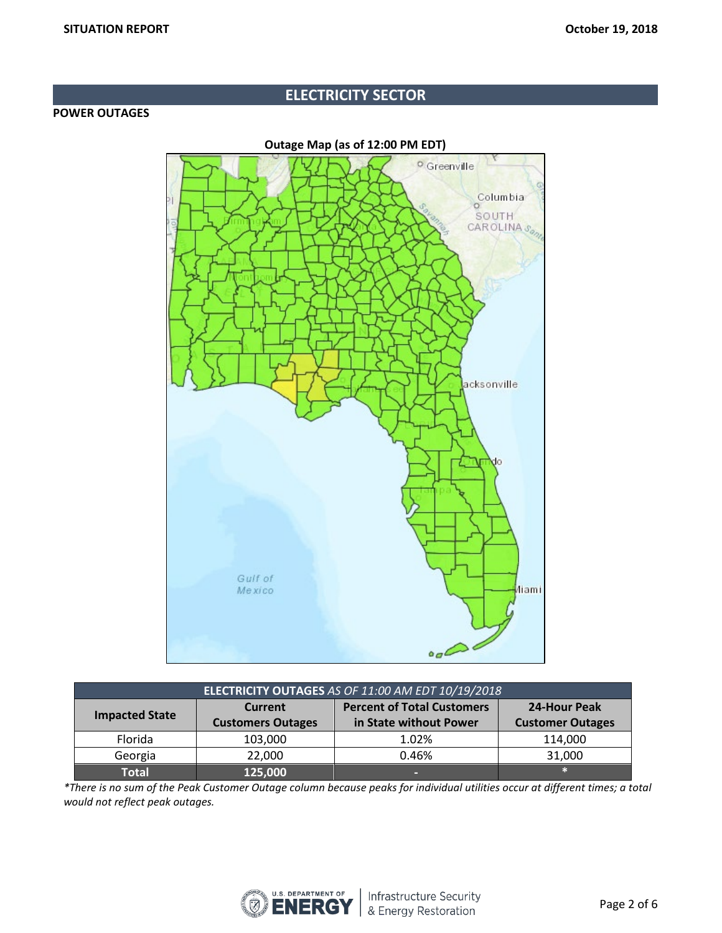# **ELECTRICITY SECTOR**

## **POWER OUTAGES**

**Outage Map (as of 12:00 PM EDT)**



| ELECTRICITY OUTAGES AS OF 11:00 AM EDT 10/19/2018 |                          |                                   |                         |  |  |  |
|---------------------------------------------------|--------------------------|-----------------------------------|-------------------------|--|--|--|
| <b>Impacted State</b>                             | <b>Current</b>           | <b>Percent of Total Customers</b> | 24-Hour Peak            |  |  |  |
|                                                   | <b>Customers Outages</b> | in State without Power            | <b>Customer Outages</b> |  |  |  |
| Florida                                           | 103,000                  | 1.02%                             | 114,000                 |  |  |  |
| Georgia                                           | 22,000                   | 0.46%                             | 31,000                  |  |  |  |
| Total                                             | 125,000                  | -                                 |                         |  |  |  |

*\*There is no sum of the Peak Customer Outage column because peaks for individual utilities occur at different times; a total would not reflect peak outages.*

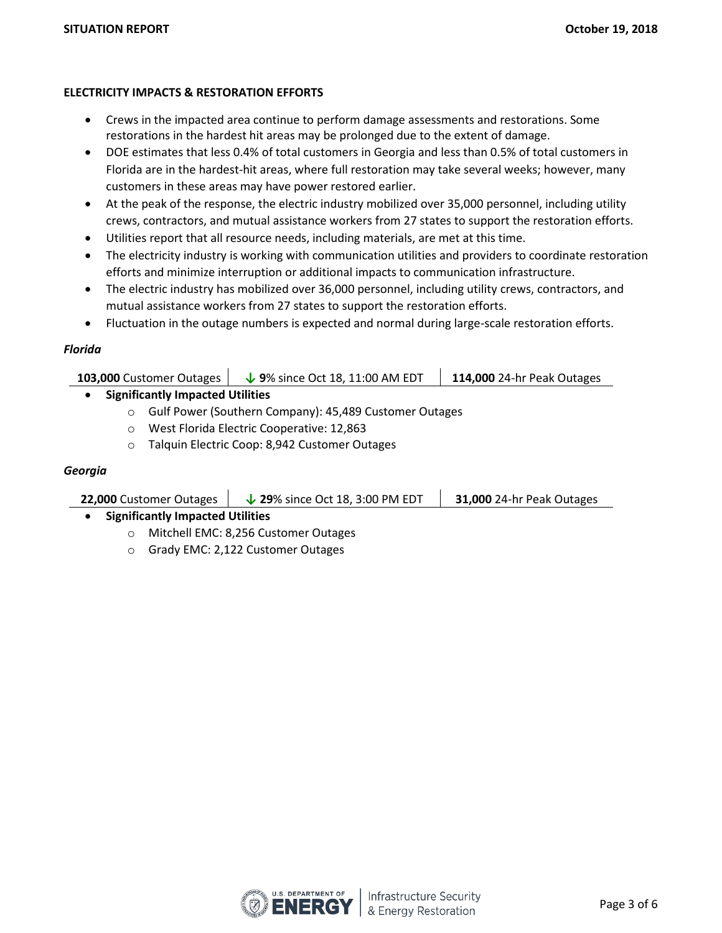## **ELECTRICITY IMPACTS & RESTORATION EFFORTS**

- Crews in the impacted area continue to perform damage assessments and restorations. Some restorations in the hardest hit areas may be prolonged due to the extent of damage.
- DOE estimates that less 0.4% of total customers in Georgia and less than 0.5% of total customers in Florida are in the hardest-hit areas, where full restoration may take several weeks; however, many customers in these areas may have power restored earlier.
- At the peak of the response, the electric industry mobilized over 35,000 personnel, including utility crews, contractors, and mutual assistance workers from 27 states to support the restoration efforts.
- Utilities report that all resource needs, including materials, are met at this time.
- The electricity industry is working with communication utilities and providers to coordinate restoration efforts and minimize interruption or additional impacts to communication infrastructure.
- The electric industry has mobilized over 36,000 personnel, including utility crews, contractors, and mutual assistance workers from 27 states to support the restoration efforts.
- Fluctuation in the outage numbers is expected and normal during large-scale restoration efforts.

## *Florida*

| 103,000 Customer Outages         | $\bigvee$ 9% since Oct 18, 11:00 AM EDT | <b>114,000 24-hr Peak Outages</b> |  |  |
|----------------------------------|-----------------------------------------|-----------------------------------|--|--|
| Cianificantly Impactad Utilitiac |                                         |                                   |  |  |

• **Significantly Impacted Utilities**

- o Gulf Power (Southern Company): 45,489 Customer Outages
- o West Florida Electric Cooperative: 12,863
- o Talquin Electric Coop: 8,942 Customer Outages

## *Georgia*

| $\downarrow$ 29% since Oct 18, 3:00 PM EDT<br>31,000 24-hr Peak Outages<br>22,000 Customer Outages |
|----------------------------------------------------------------------------------------------------|
|----------------------------------------------------------------------------------------------------|

- **Significantly Impacted Utilities**
	- o Mitchell EMC: 8,256 Customer Outages
	- o Grady EMC: 2,122 Customer Outages

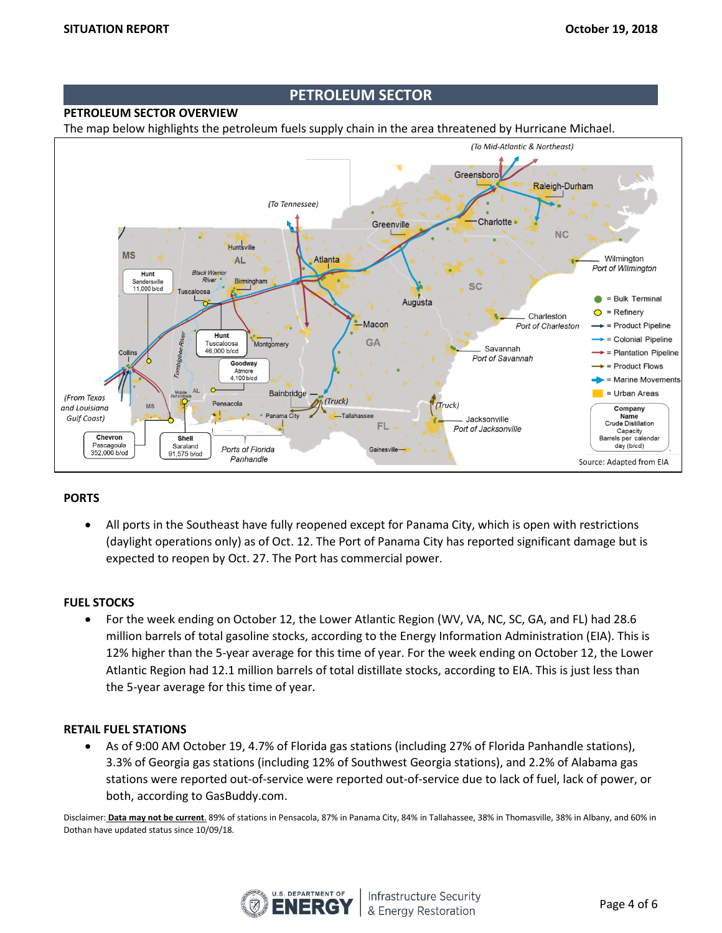## **PETROLEUM SECTOR**

## **PETROLEUM SECTOR OVERVIEW**

The map below highlights the petroleum fuels supply chain in the area threatened by Hurricane Michael.



#### **PORTS**

• All ports in the Southeast have fully reopened except for Panama City, which is open with restrictions (daylight operations only) as of Oct. 12. The Port of Panama City has reported significant damage but is expected to reopen by Oct. 27. The Port has commercial power.

#### **FUEL STOCKS**

• For the week ending on October 12, the Lower Atlantic Region (WV, VA, NC, SC, GA, and FL) had 28.6 million barrels of total gasoline stocks, according to the Energy Information Administration (EIA). This is 12% higher than the 5-year average for this time of year. For the week ending on October 12, the Lower Atlantic Region had 12.1 million barrels of total distillate stocks, according to EIA. This is just less than the 5-year average for this time of year.

#### **RETAIL FUEL STATIONS**

• As of 9:00 AM October 19, 4.7% of Florida gas stations (including 27% of Florida Panhandle stations), 3.3% of Georgia gas stations (including 12% of Southwest Georgia stations), and 2.2% of Alabama gas stations were reported out-of-service were reported out-of-service due to lack of fuel, lack of power, or both, according to GasBuddy.com.

Disclaimer: **Data may not be current**. 89% of stations in Pensacola, 87% in Panama City, 84% in Tallahassee, 38% in Thomasville, 38% in Albany, and 60% in Dothan have updated status since 10/09/18.

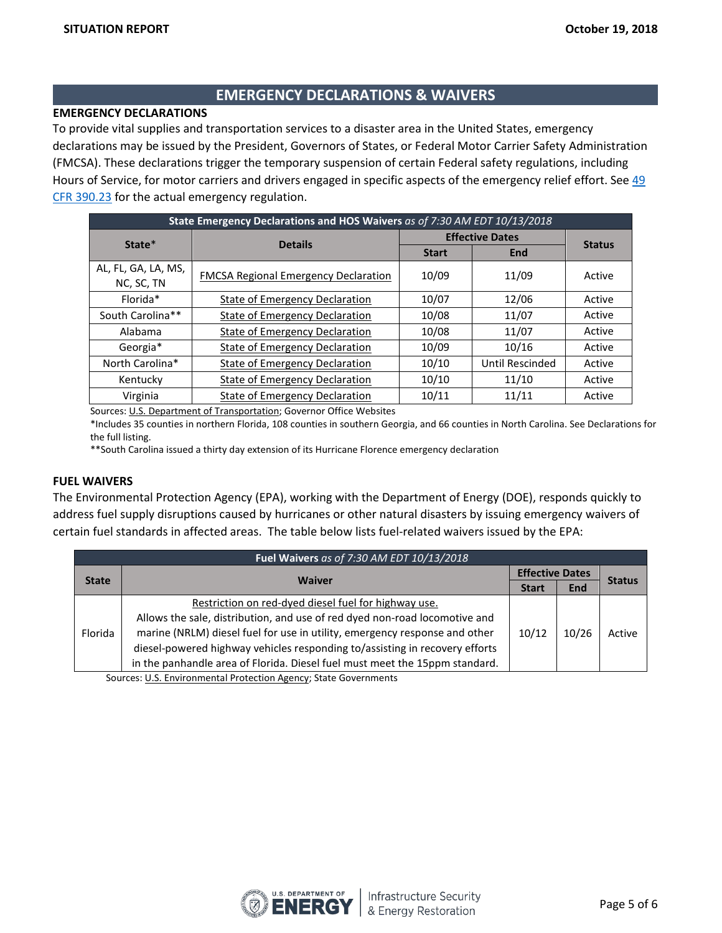## **EMERGENCY DECLARATIONS & WAIVERS**

## **EMERGENCY DECLARATIONS**

To provide vital supplies and transportation services to a disaster area in the United States, emergency declarations may be issued by the President, Governors of States, or Federal Motor Carrier Safety Administration (FMCSA). These declarations trigger the temporary suspension of certain Federal safety regulations, including Hours of Service, for motor carriers and drivers engaged in specific aspects of the emergency relief effort. See [49](https://www.fmcsa.dot.gov/regulations/title49/section/390.23)  [CFR 390.23](https://www.fmcsa.dot.gov/regulations/title49/section/390.23) for the actual emergency regulation.

| State Emergency Declarations and HOS Waivers as of 7:30 AM EDT 10/13/2018 |                                             |                        |                 |               |  |  |
|---------------------------------------------------------------------------|---------------------------------------------|------------------------|-----------------|---------------|--|--|
| State*                                                                    | <b>Details</b>                              | <b>Effective Dates</b> |                 |               |  |  |
|                                                                           |                                             | <b>Start</b>           | <b>End</b>      | <b>Status</b> |  |  |
| AL, FL, GA, LA, MS,<br>NC, SC, TN                                         | <b>FMCSA Regional Emergency Declaration</b> | 10/09                  | 11/09           | Active        |  |  |
| Florida*                                                                  | State of Emergency Declaration              | 10/07                  | 12/06           | Active        |  |  |
| South Carolina**                                                          | <b>State of Emergency Declaration</b>       | 10/08                  | 11/07           | Active        |  |  |
| Alabama                                                                   | <b>State of Emergency Declaration</b>       | 10/08                  | 11/07           | Active        |  |  |
| Georgia*                                                                  | <b>State of Emergency Declaration</b>       | 10/09                  | 10/16           | Active        |  |  |
| North Carolina*                                                           | <b>State of Emergency Declaration</b>       | 10/10                  | Until Rescinded | Active        |  |  |
| Kentucky                                                                  | <b>State of Emergency Declaration</b>       | 10/10                  | 11/10           | Active        |  |  |
| Virginia                                                                  | <b>State of Emergency Declaration</b>       | 10/11                  | 11/11           | Active        |  |  |

Sources[: U.S. Department of Transportation;](http://www.fmcsa.dot.gov/emergency) Governor Office Websites

\*Includes 35 counties in northern Florida, 108 counties in southern Georgia, and 66 counties in North Carolina. See Declarations for the full listing.

\*\*South Carolina issued a thirty day extension of its Hurricane Florence emergency declaration

#### **FUEL WAIVERS**

The Environmental Protection Agency (EPA), working with the Department of Energy (DOE), responds quickly to address fuel supply disruptions caused by hurricanes or other natural disasters by issuing emergency waivers of certain fuel standards in affected areas. The table below lists fuel-related waivers issued by the EPA:

| Fuel Waivers as of 7:30 AM EDT 10/13/2018 |                                                                             |       |                        |               |
|-------------------------------------------|-----------------------------------------------------------------------------|-------|------------------------|---------------|
|                                           | <b>Waiver</b>                                                               |       | <b>Effective Dates</b> |               |
| <b>State</b>                              |                                                                             |       | <b>End</b>             | <b>Status</b> |
| Florida                                   | Restriction on red-dyed diesel fuel for highway use.                        |       | 10/26                  | Active        |
|                                           | Allows the sale, distribution, and use of red dyed non-road locomotive and  |       |                        |               |
|                                           | marine (NRLM) diesel fuel for use in utility, emergency response and other  | 10/12 |                        |               |
|                                           | diesel-powered highway vehicles responding to/assisting in recovery efforts |       |                        |               |
|                                           | in the panhandle area of Florida. Diesel fuel must meet the 15ppm standard. |       |                        |               |

Sources: [U.S. Environmental Protection Agency;](https://www.epa.gov/enforcement/fuel-waivers) State Governments